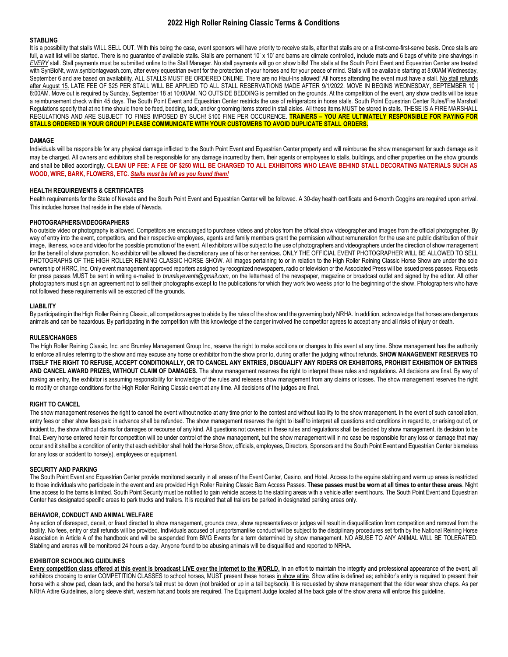# **2022 High Roller Reining Classic Terms & Conditions**

# **STABLING**

It is a possibility that stalls WILL SELL OUT. With this being the case, event sponsors will have priority to receive stalls, after that stalls are on a first-come-first-serve basis. Once stalls are full, a wait list will be started. There is no guarantee of available stalls. Stalls are permanent 10' x 10' and barns are climate controlled, include mats and 6 bags of white pine shavings in *EVERY* stall. Stall payments must be submitted online to the Stall Manager. No stall payments will go on show bills! The stalls at the South Point Event and Equestrian Center are treated with SynBioNt, www.synbiontagwash.com, after every equestrian event for the protection of your horses and for your peace of mind. Stalls will be available starting at 8:00AM Wednesday, September 6 and are based on availability. ALL STALLS MUST BE ORDERED ONLINE. There are no Haul-Ins allowed! All horses attending the event must have a stall. No stall refunds after August 15. LATE FEE OF \$25 PER STALL WILL BE APPLIED TO ALL STALL RESERVATIONS MADE AFTER 9/1/2022. MOVE IN BEGINS WEDNESDAY, SEPTEMBER 10 | 8:00AM. Move out is required by Sunday, September 18 at 10:00AM. NO OUTSIDE BEDDING is permitted on the grounds. At the competition of the event, any show credits will be issue a reimbursement check within 45 days. The South Point Event and Equestrian Center restricts the use of refrigerators in horse stalls. South Point Equestrian Center Rules/Fire Marshall Regulations specify that at no time should there be feed, bedding, tack, and/or grooming items stored in stall aisles. All these items MUST be stored in stalls. THESE IS A FIRE MARSHALL REGULATIONS AND ARE SUBJECT TO FINES IMPOSED BY SUCH! \$100 FINE PER OCCURENCE. **TRAINERS – YOU ARE ULTIMATELY RESPONSIBLE FOR PAYING FOR STALLS ORDERED IN YOUR GROUP! PLEASE COMMUNICATE WITH YOUR CUSTOMERS TO AVOID DUPLICATE STALL ORDERS.**

#### **DAMAGE**

Individuals will be responsible for any physical damage inflicted to the South Point Event and Equestrian Center property and will reimburse the show management for such damage as it may be charged. All owners and exhibitors shall be responsible for any damage incurred by them, their agents or employees to stalls, buildings, and other properties on the show grounds and shall be billed accordingly. **CLEAN UP FEE: A FEE OF \$250 WILL BE CHARGED TO ALL EXHIBITORS WHO LEAVE BEHIND STALL DECORATING MATERIALS SUCH AS WOOD, WIRE, BARK, FLOWERS, ETC.** *Stalls must be left as you found them!*

## **HEALTH REQUIREMENTS & CERTIFICATES**

Health requirements for the State of Nevada and the South Point Event and Equestrian Center will be followed. A 30-day health certificate and 6-month Coggins are required upon arrival. This includes horses that reside in the state of Nevada.

#### **PHOTOGRAPHERS/VIDEOGRAPHERS**

No outside video or photography is allowed. Competitors are encouraged to purchase videos and photos from the official show videographer and images from the official photographer. By way of entry into the event, competitors, and their respective employees, agents and family members grant the permission without remuneration for the use and public distribution of their image, likeness, voice and video for the possible promotion of the event. All exhibitors will be subject to the use of photographers and videographers under the direction of show management for the benefit of show promotion. No exhibitor will be allowed the discretionary use of his or her services. ONLY THE OFFICIAL EVENT PHOTOGRAPHER WILL BE ALLOWED TO SELL PHOTOGRAPHS OF THE HIGH ROLLER REINING CLASSIC HORSE SHOW. All images pertaining to or in relation to the High Roller Reining Classic Horse Show are under the sole ownership of HRRC, Inc. Only event management approved reporters assigned by recognized newspapers, radio or television or the Associated Press will be issued press passes. Requests for press passes MUST be sent in writing e-mailed to *brumleyevents@gmail.com*, on the letterhead of the newspaper, magazine or broadcast outlet and signed by the editor. All other photographers must sign an agreement not to sell their photographs except to the publications for which they work two weeks prior to the beginning of the show. Photographers who have not followed these requirements will be escorted off the grounds.

#### **LIABILITY**

By participating in the High Roller Reining Classic, all competitors agree to abide by the rules of the show and the governing body NRHA. In addition, acknowledge that horses are dangerous animals and can be hazardous. By participating in the competition with this knowledge of the danger involved the competitor agrees to accept any and all risks of injury or death.

#### **RULES/CHANGES**

The High Roller Reining Classic, Inc. and Brumley Management Group Inc, reserve the right to make additions or changes to this event at any time. Show management has the authority to enforce all rules referring to the show and may excuse any horse or exhibitor from the show prior to, during or after the judging without refunds. **SHOW MANAGEMENT RESERVES TO ITSELF THE RIGHT TO REFUSE, ACCEPT CONDITIONALLY, OR TO CANCEL ANY ENTRIES, DISQUALIFY ANY RIDERS OR EXHIBITORS, PROHIBIT EXHIBITION OF ENTRIES AND CANCEL AWARD PRIZES, WITHOUT CLAIM OF DAMAGES.** The show management reserves the right to interpret these rules and regulations. All decisions are final. By way of making an entry, the exhibitor is assuming responsibility for knowledge of the rules and releases show management from any claims or losses. The show management reserves the right to modify or change conditions for the High Roller Reining Classic event at any time. All decisions of the judges are final.

### **RIGHT TO CANCEL**

The show management reserves the right to cancel the event without notice at any time prior to the contest and without liability to the show management. In the event of such cancellation, entry fees or other show fees paid in advance shall be refunded. The show management reserves the right to itself to interpret all questions and conditions in regard to, or arising out of, or incident to, the show without claims for damages or recourse of any kind. All questions not covered in these rules and regulations shall be decided by show management, its decision to be final. Every horse entered herein for competition will be under control of the show management, but the show management will in no case be responsible for any loss or damage that may occur and it shall be a condition of entry that each exhibitor shall hold the Horse Show, officials, employees, Directors, Sponsors and the South Point Event and Equestrian Center blameless for any loss or accident to horse(s), employees or equipment.

### **SECURITY AND PARKING**

The South Point Event and Equestrian Center provide monitored security in all areas of the Event Center, Casino, and Hotel. Access to the equine stabling and warm up areas is restricted to those individuals who participate in the event and are provided High Roller Reining Classic Barn Access Passes. **These passes must be worn at all times to enter these areas**. Night time access to the barns is limited. South Point Security must be notified to gain vehicle access to the stabling areas with a vehicle after event hours. The South Point Event and Equestrian Center has designated specific areas to park trucks and trailers. It is required that all trailers be parked in designated parking areas only.

#### **BEHAVIOR, CONDUCT AND ANIMAL WELFARE**

Any action of disrespect, deceit, or fraud directed to show management, grounds crew, show representatives or judges will result in disqualification from competition and removal from the facility. No fees, entry or stall refunds will be provided. Individuals accused of unsportsmanlike conduct will be subject to the disciplinary procedures set forth by the National Reining Horse Association in Article A of the handbook and will be suspended from BMG Events for a term determined by show management. NO ABUSE TO ANY ANIMAL WILL BE TOLERATED. Stabling and arenas will be monitored 24 hours a day. Anyone found to be abusing animals will be disqualified and reported to NRHA.

# **EXHIBITOR SCHOOLING GUIDLINES**

**Every competition class offered at this event is broadcast LIVE over the internet to the WORLD.** In an effort to maintain the integrity and professional appearance of the event, all exhibitors choosing to enter COMPETITION CLASSES to school horses, MUST present these horses in show attire. Show attire is defined as; exhibitor's entry is required to present their horse with a show pad, clean tack, and the horse's tail must be down (not braided or up in a tail bag/sock). It is requested by show management that the rider wear show chaps. As per NRHA Attire Guidelines, a long sleeve shirt, western hat and boots are required. The Equipment Judge located at the back gate of the show arena will enforce this quideline.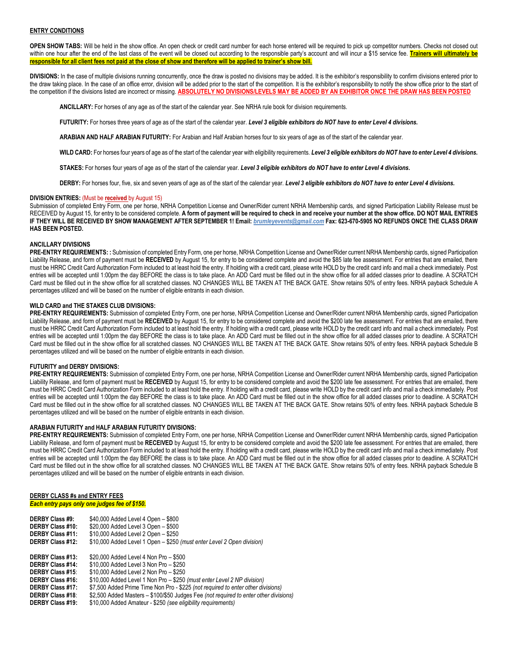## **ENTRY CONDITIONS**

**OPEN SHOW TABS:** Will be held in the show office. An open check or credit card number for each horse entered will be required to pick up competitor numbers. Checks not closed out within one hour after the end of the last class of the event will be closed out according to the responsible party's account and will incur a \$15 service fee. Trainers will ultimately be **responsible for all client fees not paid at the close of show and therefore will be applied to trainer's show bill.**

DIVISIONS: In the case of multiple divisions running concurrently, once the draw is posted no divisions may be added. It is the exhibitor's responsibility to confirm divisions entered prior to the draw taking place. In the case of an office error, division will be added prior to the start of the competition. It is the exhibitor's responsibility to notify the show office prior to the start of the competition if the divisions listed are incorrect or missing. **ABSOLUTELY NO DIVISIONS/LEVELS MAY BE ADDED BY AN EXHIBITOR ONCE THE DRAW HAS BEEN POSTED**

**ANCILLARY:** For horses of any age as of the start of the calendar year. See NRHA rule book for division requirements.

**FUTURITY:** For horses three years of age as of the start of the calendar year. *Level 3 eligible exhibitors do NOT have to enter Level 4 divisions.*

**ARABIAN AND HALF ARABIAN FUTURITY:** For Arabian and Half Arabian horses four to six years of age as of the start of the calendar year.

**WILD CARD:** For horses four years of age as of the start of the calendar year with eligibility requirements. *Level 3 eligible exhibitors do NOT have to enter Level 4 divisions.*

**STAKES:** For horses four years of age as of the start of the calendar year. *Level 3 eligible exhibitors do NOT have to enter Level 4 divisions.*

**DERBY:** For horses four, five, six and seven years of age as of the start of the calendar year. *Level 3 eligible exhibitors do NOT have to enter Level 4 divisions.*

# **DIVISION ENTRIES:** (Must be **received** by August 15)

Submission of completed Entry Form, one per horse, NRHA Competition License and Owner/Rider current NRHA Membership cards, and signed Participation Liability Release must be RECEIVED by August 15, for entry to be considered complete. **A form of payment will be required to check in and receive your number at the show office. DO NOT MAIL ENTRIES IF THEY WILL BE RECEIVED BY SHOW MANAGEMENT AFTER SEPTEMBER 1! Email:** *[brumleyevents@gmail.com](mailto:brumleyevents@gmail.com)* **Fax: 623-670-5905 NO REFUNDS ONCE THE CLASS DRAW HAS BEEN POSTED.**

### **ANCILLARY DIVISIONS**

**PRE-ENTRY REQUIREMENTS: :** Submission of completed Entry Form, one per horse, NRHA Competition License and Owner/Rider current NRHA Membership cards, signed Participation Liability Release, and form of payment must be RECEIVED by August 15, for entry to be considered complete and avoid the \$85 late fee assessment. For entries that are emailed, there must be HRRC Credit Card Authorization Form included to at least hold the entry. If holding with a credit card, please write HOLD by the credit card info and mail a check immediately. Post entries will be accepted until 1:00pm the day BEFORE the class is to take place. An ADD Card must be filled out in the show office for all added classes prior to deadline. A SCRATCH Card must be filled out in the show office for all scratched classes. NO CHANGES WILL BE TAKEN AT THE BACK GATE. Show retains 50% of entry fees. NRHA payback Schedule A percentages utilized and will be based on the number of eligible entrants in each division.

# **WILD CARD and THE STAKES CLUB DIVISIONS:**

**PRE-ENTRY REQUIREMENTS:** Submission of completed Entry Form, one per horse, NRHA Competition License and Owner/Rider current NRHA Membership cards, signed Participation Liability Release, and form of payment must be **RECEIVED** by August 15, for entry to be considered complete and avoid the \$200 late fee assessment. For entries that are emailed, there must be HRRC Credit Card Authorization Form included to at least hold the entry. If holding with a credit card, please write HOLD by the credit card info and mail a check immediately. Post entries will be accepted until 1:00pm the day BEFORE the class is to take place. An ADD Card must be filled out in the show office for all added classes prior to deadline. A SCRATCH Card must be filled out in the show office for all scratched classes. NO CHANGES WILL BE TAKEN AT THE BACK GATE. Show retains 50% of entry fees. NRHA payback Schedule B percentages utilized and will be based on the number of eligible entrants in each division.

# **FUTURITY and DERBY DIVISIONS:**

**PRE-ENTRY REQUIREMENTS:** Submission of completed Entry Form, one per horse, NRHA Competition License and Owner/Rider current NRHA Membership cards, signed Participation Liability Release, and form of payment must be RECEIVED by August 15, for entry to be considered complete and avoid the \$200 late fee assessment. For entries that are emailed, there must be HRRC Credit Card Authorization Form included to at least hold the entry. If holding with a credit card, please write HOLD by the credit card info and mail a check immediately. Post entries will be accepted until 1:00pm the day BEFORE the class is to take place. An ADD Card must be filled out in the show office for all added classes prior to deadline. A SCRATCH Card must be filled out in the show office for all scratched classes. NO CHANGES WILL BE TAKEN AT THE BACK GATE. Show retains 50% of entry fees. NRHA payback Schedule B percentages utilized and will be based on the number of eligible entrants in each division.

### **ARABIAN FUTURITY and HALF ARABIAN FUTURITY DIVISIONS:**

**PRE-ENTRY REQUIREMENTS:** Submission of completed Entry Form, one per horse, NRHA Competition License and Owner/Rider current NRHA Membership cards, signed Participation Liability Release, and form of payment must be RECEIVED by August 15, for entry to be considered complete and avoid the \$200 late fee assessment. For entries that are emailed, there must be HRRC Credit Card Authorization Form included to at least hold the entry. If holding with a credit card, please write HOLD by the credit card info and mail a check immediately. Post entries will be accepted until 1:00pm the day BEFORE the class is to take place. An ADD Card must be filled out in the show office for all added classes prior to deadline. A SCRATCH Card must be filled out in the show office for all scratched classes. NO CHANGES WILL BE TAKEN AT THE BACK GATE. Show retains 50% of entry fees. NRHA payback Schedule B percentages utilized and will be based on the number of eligible entrants in each division.

#### **DERBY CLASS #s and ENTRY FEES** *Each entry pays only one judges fee of \$150.*

| <b>DERBY Class #9:</b><br><b>DERBY Class #10:</b><br>DERBY Class #11:<br><b>DERBY Class #12:</b> | \$40,000 Added Level 4 Open - \$800<br>\$20,000 Added Level 3 Open - \$500<br>\$10,000 Added Level 2 Open - \$250<br>\$10,000 Added Level 1 Open - \$250 (must enter Level 2 Open division) |
|--------------------------------------------------------------------------------------------------|---------------------------------------------------------------------------------------------------------------------------------------------------------------------------------------------|
| <b>DERBY Class #13:</b>                                                                          | \$20,000 Added Level 4 Non Pro - \$500                                                                                                                                                      |
| <b>DERBY Class #14:</b>                                                                          | \$10,000 Added Level 3 Non Pro - \$250                                                                                                                                                      |
| <b>DERBY Class #15:</b>                                                                          | \$10,000 Added Level 2 Non Pro - \$250                                                                                                                                                      |
| DERBY Class #16:                                                                                 | \$10,000 Added Level 1 Non Pro - \$250 (must enter Level 2 NP division)                                                                                                                     |
| <b>DERBY Class #17:</b>                                                                          | \$7,500 Added Prime Time Non Pro - \$225 (not required to enter other divisions)                                                                                                            |
| <b>DERBY Class #18:</b>                                                                          | \$2,500 Added Masters – \$100/\$50 Judges Fee (not required to enter other divisions)                                                                                                       |
| <b>DERBY Class #19:</b>                                                                          | \$10,000 Added Amateur - \$250 (see eligibility requirements)                                                                                                                               |